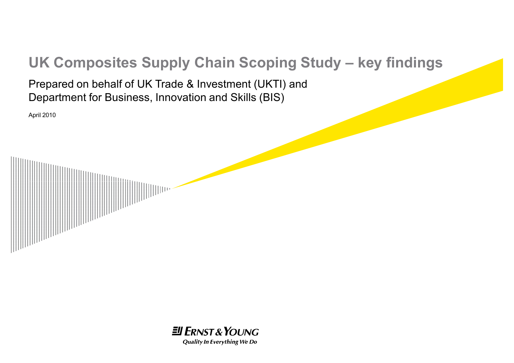# **UK Composites Supply Chain Scoping Study – key findings**

Prepared on behalf of UK Trade & Investment (UKTI) and Department for Business, Innovation and Skills (BIS)

April 2010



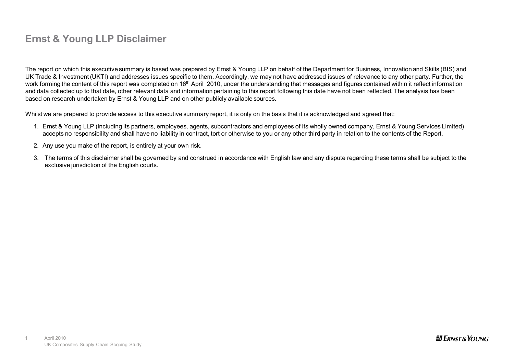# **Ernst & Young LLP Disclaimer**

The report on which this executive summary is based was prepared by Ernst & Young LLP on behalf of the Department for Business, Innovation and Skills (BIS) and UK Trade & Investment (UKTI) and addresses issues specific to them. Accordingly, we may not have addressed issues of relevance to any other party. Further, the work forming the content of this report was completed on 16<sup>th</sup> April 2010, under the understanding that messages and figures contained within it reflect information and data collected up to that date, other relevant data and information pertaining to this report following this date have no not been reflected. The analysis has been based on research undertaken by Ernst & Young LLP and on other publicly available sources.

Whilst we are prepared to provide access to this executive summary report, it is only on the basis that it is acknowledged and agreed that:

- 1. Ernst & Young LLP (including its partners, employees, agents, subcontractors and employees of its wholly owned company, Erns Ernst & Young Services Limited) accepts no responsibility and shall have no liability in contract, tort or otherwise to you or any other third party in relat relation to the contents of the Report.
- 2. Any use you make of the report, is entirely at your own risk.
- 3. The terms of this disclaimer shall be governed by and construed in accordance with English law and any dispute regarding these te terms shall be subject to the exclusive jurisdiction of the English courts.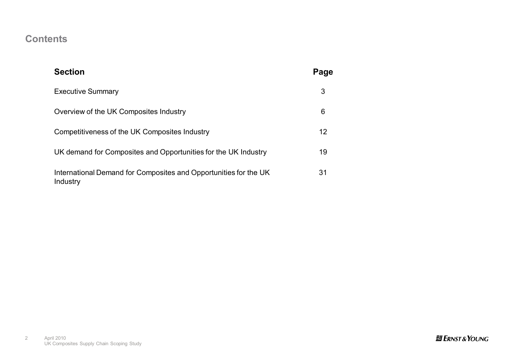# **Contents**

| <b>Section</b>                                                               | Page |
|------------------------------------------------------------------------------|------|
| <b>Executive Summary</b>                                                     | 3    |
| Overview of the UK Composites Industry                                       | 6    |
| Competitiveness of the UK Composites Industry                                | 12   |
| UK demand for Composites and Opportunities for the UK Industry               | 19   |
| International Demand for Composites and Opportunities for the UK<br>Industry | 31   |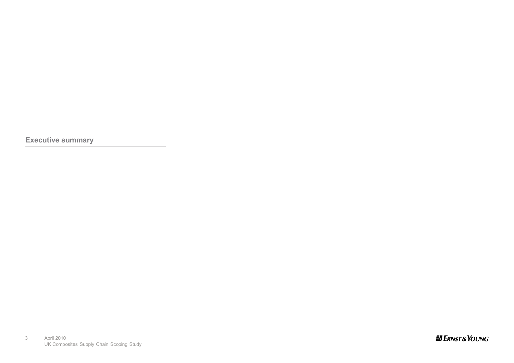**Executive summary**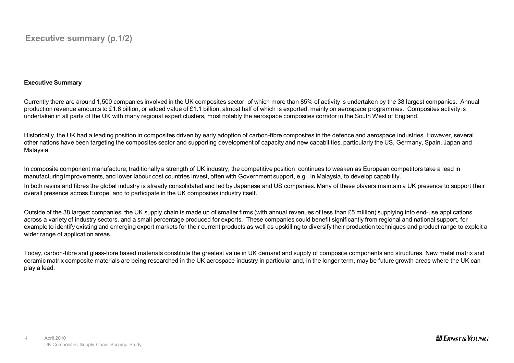#### **Executive Summary**

Currently there are around 1,500 companies involved in the UK composites sector, of which more than 85% of activity is undertaken by the 38 largest companies. Annual production revenue amounts to £1.6 billion, or added value of £1.1 billion, almost half of which is exported, mainly on aerospace programmes. Composites activity is undertaken in all parts of the UK with many regional expert clusters, most notably the aerospace composites corridor in the S South West of England.

Historically, the UK had a leading position in composites driven by early adoption of carbon-fibre composites in the defence and aerospace industries. However, several other nations have been targeting the composites sector and supporting development of capacity and new capabilities, particularly the US, Germany, Spain, Japan and Malaysia.

In composite component manufacture, traditionally a strength of UK industry, the competitive position continues to weaken as European competitors take a lead in manufacturing improvements, and lower labour cost countries invest, often with Government support, e.g., in Malaysia, to deve develop capability.

In both resins and fibres the global industry is already consolidated and led by Japanese and US companies. Many of these players maintain a UK presence to support their overall presence across Europe, and to participate in the UK composites industry itself.

Outside of the 38 largest companies, the UK supply chain is made up of smaller firms (with annual revenues of less than £5 million) supplying into end-use applications across a variety of industry sectors, and a small percentage produced for exports. These companies could benefit significantly from regional and national support, for example to identify existing and emerging export markets for their current products as well as upskilling to diversify their production techniques and product range to exploit a wider range of application areas.

Today, carbon-fibre and glass-fibre based materials constitute the greatest value in UK demand and supply of composite components and structures. New metal matrix and ceramic matrix composite materials are being researched in the UK aerospace industry in particular and, in the longer term, m may be future growth areas where the UK can play a lead.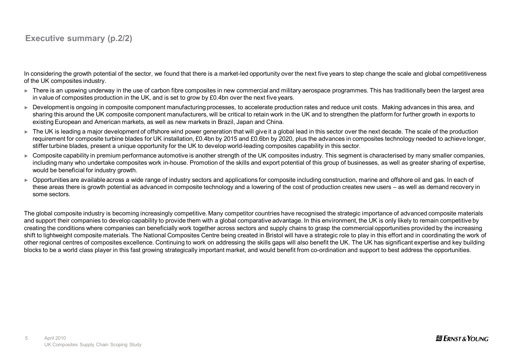### **Executive summary (p.2/2)**

In considering the growth potential of the sector, we found that there is a market-led opportunity over the next five years to step change the scale and global competitiveness of the UK composites industry.

- ► There is an upswing underway in the use of carbon fibre composites in new commercial and military aerospace programmes. This has traditionally been the largest area in value of composites production in the UK, and is set to grow by £0.4bn over the next five years.
- ► Development is ongoing in composite component manufacturing processes, to accelerate production rates and reduce unit costs. Making advances in this area, and sharing this around the UK composite component manufacturers, will be critical to retain work in the UK and to strengthen the platform for further growth in exports to existing European and American markets, as well as new markets in Brazil, Japan and China.
- ► The UK is leading a major development of offshore wind power generation that will give it a global lead in this sector over the next decade. The scale of the production requirement for composite turbine blades for UK installation, £0.4bn by 2015 and £0.6bn by 2020, plus the advances in composites technology needed to achieve longer, stiffer turbine blades, present a unique opportunity for the UK to develop world-leading composites capability in this sector.
- stiffer turbine blades, present a unique opportunity for the UK to develop world-leading composites capability in this sector.<br>► Composite capability in premium performance automotive is another strength of the UK composi including many who undertake composites work in-house. Promotion of the skills and export potential of this group of businesses, as well as greater sharing of expertise, would be beneficial for industry growth.
- ► Opportunities are available across a wide range of industry sectors and applications for composite including construction, marine and offshore oil and gas. In each of these areas there is growth potential as advanced in composite technology and a lowering of the cost of production creates new users – as well as demand recovery in some sectors.

The global composite industry is becoming increasingly competitive. Many competitor countries have recognised the strategic importance of advanced composite materials and support their companies to develop capability to provide them with a global comparative advantage. In this environment, the UK is only likely to remain competitive by creating the conditions where companies can beneficially work together across sectors and supply chains to grasp the commercial opportunities provided by the increasing shift to lightweight composite materials. The National Composites Centre being created in Bristol will have a strategic role to play in this effort and in coordinating the work of other regional centres of composites excellence. Continuing to work on addressing the skills gaps will also benefit the UK. T The UK has significant expertise and key building blocks to be a world class player in this fast growing strategically important market, and would benefit from co-ordination and support to best address the opportunities.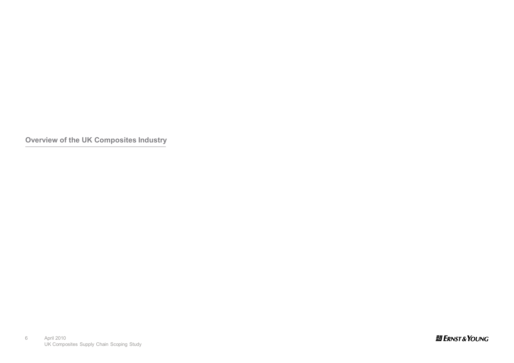**Overview of the UK Composites Industry**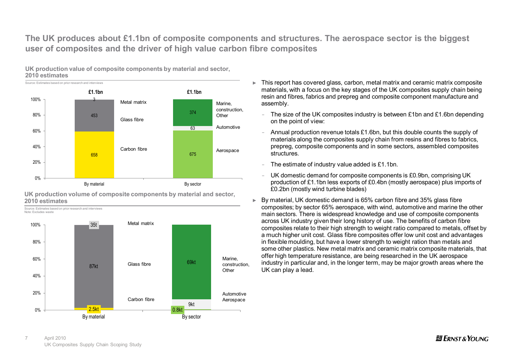### **The UK produces about £1.1bn of composite components and structures. The aerospace sector is the biggest user of composites and the driver of high value carbon fibre composites**

**UK production value of composite components by material and sector, 2010 estimates**



#### **UK production volume of composite components by material and sector, 2010 estimates**



Source: Estimates based on prior research and interviews Note: Excludes waste

- ► This report has covered glass, carbon, metal matrix and ceramic matrix composite materials, with a focus on the key stages of the UK composites supply chain being resin and fibres, fabrics and prepreg and composite component manufacture and assembly.
	- − The size of the UK composites industry is between £1bn and £1.6bn depending on the point of view:
	- − Annual production revenue totals £1.6bn, but this double counts the supply of materials along the composites supply chain from resins and fibres to fabrics, prepreg, composite components and in some sectors, assembled composites structures.
	- The estimate of industry value added is £1.1bn.
	- − UK domestic demand for composite components is £0.9bn, comprising UK production of £1.1bn less exports of £0.4bn (mostly aerospace) plus imports of £0.2bn (mostly wind turbine blades)
- ► By material, UK domestic demand is 65% carbon fibre and 35% glass fibre composites; by sector 65% aerospace, with wind, automotive and marine the other main sectors. There is widespread knowledge and use of composite components across UK industry given their long history of use. The benefits of carbon fibre composites relate to their high strength to weight ratio compared to metals, offset by a much higher unit cost. Glass fibre composites offer low unit cost and advantages in flexible moulding, but have a lower strength to weight ration than metals and some other plastics. New metal matrix and ceramic matrix composite materials, that offer high temperature resistance, are being researched in the UK aerospace industry in particular and, in the longer term, may be major growth areas where the UK can play a lead.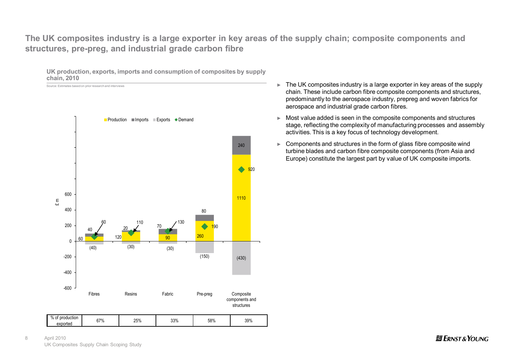### The UK composites industry is a large exporter in key areas of the supply chain; composite components and **structures, pre-preg, and industrial grade carbon fibre**



- ► The UK composites industry is a large exporter in key areas of the supply chain. These include carbon fibre composite components and structures, predominantly to the aerospace industry, prepreg and woven fabrics for aerospace and industrial grade carbon fibres.
- ► Most value added is seen in the composite components and structures stage, reflecting the complexity of manufacturing processes and assembly activities. This is a key focus of technology development.
- ► Components and structures in the form of glass fibre composite wind turbine blades and carbon fibre composite components (from Asia and Europe) constitute the largest part by value of UK composite imports.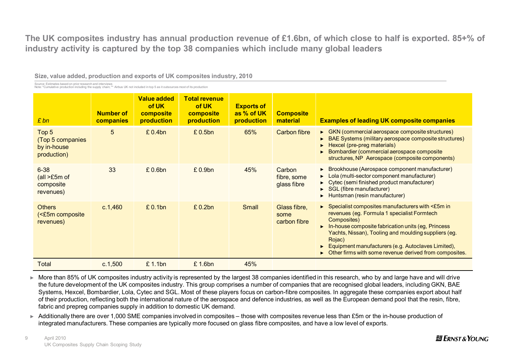The UK composites industry has annual production revenue of £1.6bn, of which close to half is exported. 85+% of **industry activity is captured by the top 38 companies which include many global leaders**

#### **Size, value added, production and exports of UK composites industry, 2010**

Source: Estimates based on prior research and interviews<br>Note: \*Cumulative production including the supply chain; \*\* Airbus UK not included in top 5 as it outsources most of its production

| $£$ bn                                                  | <b>Number of</b><br>companies | <b>Value added</b><br>of UK<br>composite<br>production | <b>Total revenue</b><br>of UK<br>composite<br>production | <b>Exports of</b><br>as % of UK<br>production | <b>Composite</b><br>material         | <b>Examples of leading UK composite companies</b>                                                                                                                                                                                                                                                                                                                                                                   |
|---------------------------------------------------------|-------------------------------|--------------------------------------------------------|----------------------------------------------------------|-----------------------------------------------|--------------------------------------|---------------------------------------------------------------------------------------------------------------------------------------------------------------------------------------------------------------------------------------------------------------------------------------------------------------------------------------------------------------------------------------------------------------------|
| Top 5<br>(Top 5 companies<br>by in-house<br>production) | 5                             | £ 0.4bn                                                | £ 0.5bn                                                  | 65%                                           | <b>Carbon fibre</b>                  | ► GKN (commercial aerospace composite structures)<br>► BAE Systems (military aerospace composite structures)<br>Hexcel (pre-preg materials)<br>Bombardier (commercial aerospace composite<br>structures, NP Aerospace (composite components)                                                                                                                                                                        |
| $6 - 38$<br>(all > £5m of<br>composite<br>revenues)     | 33                            | £0.6bn                                                 | £ 0.9 <sub>bn</sub>                                      | 45%                                           | Carbon<br>fibre, some<br>glass fibre | ► Brookhouse (Aerospace component manufacturer)<br>Lola (multi-sector component manufacturer)<br>Cytec (semi finished product manufacturer)<br>SGL (fibre manufacturer)<br>Huntsman (resin manufacturer)                                                                                                                                                                                                            |
| <b>Others</b><br>(<£5m composite<br>revenues)           | c.1,460                       | £ 0.1bn                                                | £ 0.2bn                                                  | Small                                         | Glass fibre,<br>some<br>carbon fibre | $\triangleright$ Specialist composites manufacturers with $\leq$ 5m in<br>revenues (eg. Formula 1 specialist Formtech<br>Composites)<br>$\triangleright$ In-house composite fabrication units (eg, Princess<br>Yachts, Nissan), Tooling and moulding suppliers (eg.<br>Rojac)<br>$\blacktriangleright$ Equipment manufacturers (e.g. Autoclaves Limited),<br>Other firms with some revenue derived from composites. |
| Total                                                   | c.1,500                       | £ 1.1bn                                                | £ 1.6bn                                                  | 45%                                           |                                      |                                                                                                                                                                                                                                                                                                                                                                                                                     |

► More than 85% of UK composites industry activity is represented by the largest 38 companies identified in this research, who by and large have and will drive the future development of the UK composites industry. This group comprises a number of companies that are recognised global l leaders, including GKN, BAE Systems, Hexcel, Bombardier, Lola, Cytec and SGL. Most of these players focus on carbon-fibre composites. In aggregate these companies export about half of their production, reflecting both the international nature of the aerospace and defence industries, as well as the Europea European demand pool that the resin, fibre, fabric and prepreg companies supply in addition to domestic UK demand.

► Additionally there are over 1,000 SME companies involved in composites – those with composites revenue less than £5m or the in-house production of integrated manufacturers. These companies are typically more focused on glass fibre composites, and have a low level of exports.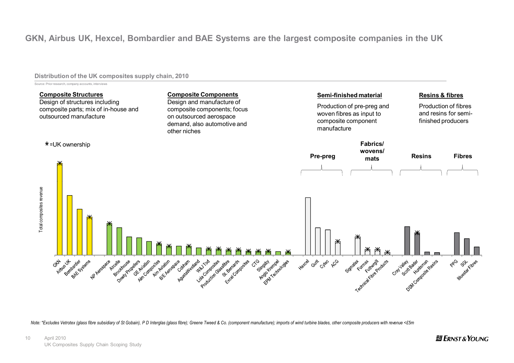### **GKN, Airbus UK, Hexcel, Bombardier and BAE Systems are the largest composite companies in the UK**

**Distribution of the UK composites supply chain, 2010**

Source: Prior research, company accounts, interviews

![](_page_10_Figure_3.jpeg)

Note: \*Excludes Vetrotex (glass fibre subsidiary of St Gobain), PD Interglas (glass fibre); Greene Tweed & Co. (component manufacture); imports of wind turbine blades, other composite producers with revenue <£5m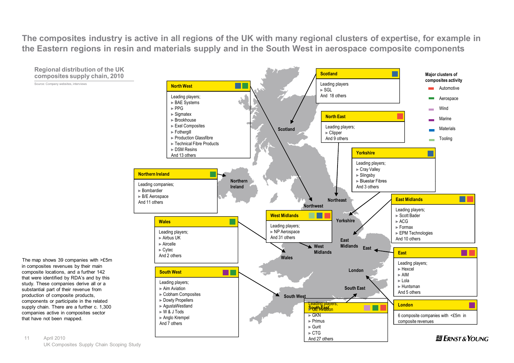The composites industry is active in all regions of the UK with many regional clusters of expertise, for example in **the Eastern regions in resin and materials supply and in the South West in aerospace composite components**

![](_page_11_Figure_1.jpeg)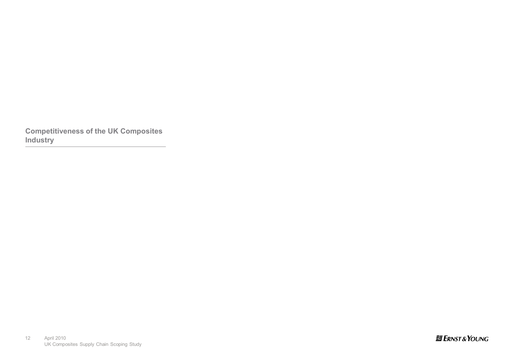**Competitiveness of the UK Composites Industry**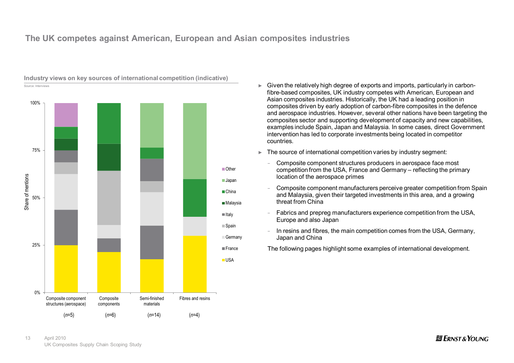### **The UK competes against American, European and Asian composites industries**

![](_page_13_Figure_1.jpeg)

**Industry views on key sources of international competition (indicative)**

- ► Given the relatively high degree of exports and imports, particularly in carbonfibre-based composites, UK industry competes with American, European and Asian composites industries. Historically, the UK had a leading position in composites driven by early adoption of carbon-fibre composites in the defence and aerospace industries. However, several other nations have been targeting the composites sector and supporting development of capacity and new capabilities, examples include Spain, Japan and Malaysia. In some cases, direct Government intervention has led to corporate investments being located in competitor countries.
- $\blacktriangleright$  The source of international competition varies by industry segment:
	- − Composite component structures producers in aerospace face most competition from the USA, France and Germany – reflecting the primary location of the aerospace primes
	- − Composite component manufacturers perceive greater competition from Spain and Malaysia, given their targeted investments in this area, and a growing threat from China
	- Fabrics and prepreg manufacturers experience competition from the USA, Europe and also Japan
	- In resins and fibres, the main competition comes from the USA, Germany, Japan and China
	- The following pages highlight some examples of international development.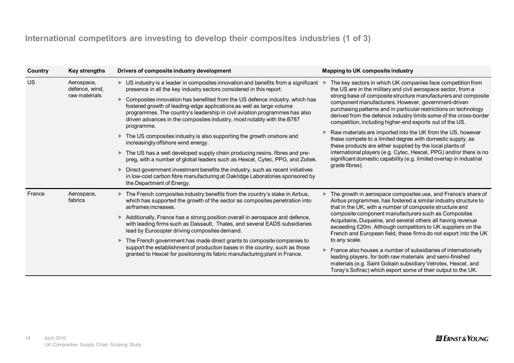| Country                                                    | <b>Key strengths</b> | Drivers of composite industry development                                                                                                                                                                                                                                                                                 | Mapping to UK composite industry |                                                                                                                                                                                                                                                                                                                            |  |
|------------------------------------------------------------|----------------------|---------------------------------------------------------------------------------------------------------------------------------------------------------------------------------------------------------------------------------------------------------------------------------------------------------------------------|----------------------------------|----------------------------------------------------------------------------------------------------------------------------------------------------------------------------------------------------------------------------------------------------------------------------------------------------------------------------|--|
| <b>US</b><br>Aerospace,<br>defence, wind,<br>raw materials |                      | ► US industry is a leader in composites innovation and benefits from a significant<br>presence in all the key industry sectors considered in this report.                                                                                                                                                                 |                                  | The key sectors in which UK companies face competition from<br>the US are in the military and civil aerospace sector, from a                                                                                                                                                                                               |  |
|                                                            |                      | Composites innovation has benefited from the US defence industry, which has<br>fostered growth of leading-edge applications as well as large volume<br>programmes. The country's leadership in civil aviation programmes has also<br>driven advances in the composites industry, most notably with the B787<br>programme. |                                  | strong base of composite structure manufacturers and composite<br>component manufacturers. However, government-driven<br>purchasing patterns and in particular restrictions on technology<br>derived from the defence industry limits some of the cross-border<br>competition, including higher-end exports out of the US. |  |
|                                                            |                      | The US composites industry is also supporting the growth onshore and<br>increasingly offshore wind energy.                                                                                                                                                                                                                |                                  | Raw materials are imported into the UK from the US, however<br>these compete to a limited degree with domestic supply, as<br>these products are either supplied by the local plants of                                                                                                                                     |  |
|                                                            |                      | The US has a well developed supply chain producing resins, fibres and pre-<br>preg, with a number of global leaders such as Hexcel, Cytec, PPG, and Zoltek.                                                                                                                                                               |                                  | international players (e.g. Cytec, Hexcel, PPG) and/or there is no<br>significant domestic capability (e.g. limited overlap in industrial<br>grade fibres).                                                                                                                                                                |  |
|                                                            |                      | Direct government investment benefits the industry, such as recent initiatives<br>in low-cost carbon fibre manufacturing at Oakridge Laboratories sponsored by<br>the Department of Energy.                                                                                                                               |                                  |                                                                                                                                                                                                                                                                                                                            |  |
| France<br>Aerospace,<br>fabrics                            |                      | The French composites industry benefits from the country's stake in Airbus,<br>which has supported the growth of the sector as composites penetration into<br>airframes increases.                                                                                                                                        |                                  | The growth in aerospace composites use, and France's share of<br>Airbus programmes, has fostered a similar industry structure to<br>that in the UK, with a number of composite structure and                                                                                                                               |  |
|                                                            |                      | Additionally, France has a strong position overall in aerospace and defence,<br>with leading firms such as Dassault, Thales, and several EADS subsidiaries<br>lead by Eurocopter driving composites demand.                                                                                                               |                                  | composite component manufacturers such as Composites<br>Acquitaine, Duqueine, and several others all having revenue<br>exceeding £20m. Although competitors to UK suppliers on the<br>French and European field, these firms do not export into the UK                                                                     |  |
|                                                            |                      | The French government has made direct grants to composite companies to<br>Þ.                                                                                                                                                                                                                                              |                                  | to any scale.                                                                                                                                                                                                                                                                                                              |  |
|                                                            |                      | support the establishment of production bases in the country, such as those<br>granted to Hexcel for positioning its fabric manufacturing plant in France.                                                                                                                                                                |                                  | France also houses a number of subsidiaries of internationally<br>leading players, for both raw materials and semi-finished<br>materials (e.g. Saint Gobain subsidiary Vetrotex, Hexcel, and<br>Toray's Sofirac) which export some of their output to the UK.                                                              |  |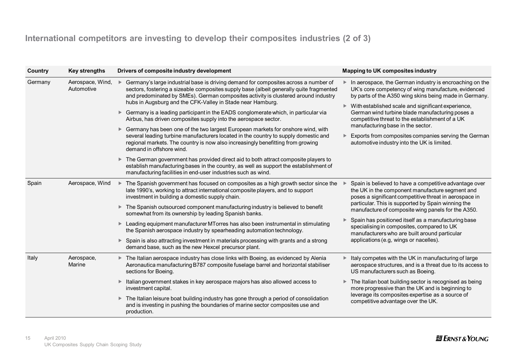| Country                                   | <b>Key strengths</b> | Drivers of composite industry development                                                                                                                                                                                                                                             | <b>Mapping to UK composites industry</b>                                                                                                                                                                                 |                                                                                                                                                                     |  |  |  |  |  |  |  |  |  |  |  |  |  |  |  |  |  |  |
|-------------------------------------------|----------------------|---------------------------------------------------------------------------------------------------------------------------------------------------------------------------------------------------------------------------------------------------------------------------------------|--------------------------------------------------------------------------------------------------------------------------------------------------------------------------------------------------------------------------|---------------------------------------------------------------------------------------------------------------------------------------------------------------------|--|--|--|--|--|--|--|--|--|--|--|--|--|--|--|--|--|--|
| Aerospace, Wind,<br>Germany<br>Automotive |                      | ► Germany's large industrial base is driving demand for composites across a number of<br>sectors, fostering a sizeable composites supply base (albeit generally quite fragmented<br>and predominated by SMEs). German composites activity is clustered around industry                | In aerospace, the German industry is encroaching on the<br>UK's core competency of wing manufacture, evidenced<br>by parts of the A350 wing skins being made in Germany.                                                 |                                                                                                                                                                     |  |  |  |  |  |  |  |  |  |  |  |  |  |  |  |  |  |  |
|                                           |                      | hubs in Augsburg and the CFK-Valley in Stade near Hamburg.<br>Germany is a leading participant in the EADS conglomerate which, in particular via<br>Airbus, has driven composites supply into the aerospace sector.                                                                   | $\triangleright$ With established scale and significant experience,<br>German wind turbine blade manufacturing poses a<br>competitive threat to the establishment of a UK                                                |                                                                                                                                                                     |  |  |  |  |  |  |  |  |  |  |  |  |  |  |  |  |  |  |
|                                           |                      | Germany has been one of the two largest European markets for onshore wind, with<br>several leading turbine manufacturers located in the country to supply domestic and<br>regional markets. The country is now also increasingly benefitting from growing<br>demand in offshore wind. | manufacturing base in the sector.<br>Exports from composites companies serving the German<br>automotive industry into the UK is limited.                                                                                 |                                                                                                                                                                     |  |  |  |  |  |  |  |  |  |  |  |  |  |  |  |  |  |  |
|                                           |                      | The German government has provided direct aid to both attract composite players to<br>establish manufacturing bases in the country, as well as support the establishment of<br>manufacturing facilities in end-user industries such as wind.                                          |                                                                                                                                                                                                                          |                                                                                                                                                                     |  |  |  |  |  |  |  |  |  |  |  |  |  |  |  |  |  |  |
| Spain                                     | Aerospace, Wind      |                                                                                                                                                                                                                                                                                       | The Spanish government has focused on composites as a high growth sector since the<br>late 1990's, working to attract international composite players, and to support<br>investment in building a domestic supply chain. | Spain is believed to have a competitive advantage over<br>the UK in the component manufacture segment and<br>poses a significant competitive threat in aerospace in |  |  |  |  |  |  |  |  |  |  |  |  |  |  |  |  |  |  |
|                                           |                      | The Spanish outsourced component manufacturing industry is believed to benefit<br>somewhat from its ownership by leading Spanish banks.                                                                                                                                               | particular. This is supported by Spain winning the<br>manufacture of composite wing panels for the A350.                                                                                                                 |                                                                                                                                                                     |  |  |  |  |  |  |  |  |  |  |  |  |  |  |  |  |  |  |
|                                           |                      | Leading equipment manufacturer MTorres has also been instrumental in stimulating<br>the Spanish aerospace industry by spearheading automation technology.                                                                                                                             | Spain has positioned itself as a manufacturing base<br>specialising in composites, compared to UK<br>manufacturers who are built around particular                                                                       |                                                                                                                                                                     |  |  |  |  |  |  |  |  |  |  |  |  |  |  |  |  |  |  |
|                                           |                      | ▶ Spain is also attracting investment in materials processing with grants and a strong<br>demand base, such as the new Hexcel precursor plant.                                                                                                                                        | applications (e.g, wings or nacelles).                                                                                                                                                                                   |                                                                                                                                                                     |  |  |  |  |  |  |  |  |  |  |  |  |  |  |  |  |  |  |
| Italy                                     | Aerospace,<br>Marine | The Italian aerospace industry has close links with Boeing, as evidenced by Alenia<br>Aeronautica manufacturing B787 composite fuselage barrel and horizontal stabiliser<br>sections for Boeing.                                                                                      | Italy competes with the UK in manufacturing of large<br>aerospace structures, and is a threat due to its access to<br>US manufacturers such as Boeing.                                                                   |                                                                                                                                                                     |  |  |  |  |  |  |  |  |  |  |  |  |  |  |  |  |  |  |
|                                           |                      |                                                                                                                                                                                                                                                                                       | Italian government stakes in key aerospace majors has also allowed access to<br>investment capital.                                                                                                                      | The Italian boat building sector is recognised as being<br>more progressive than the UK and is beginning to                                                         |  |  |  |  |  |  |  |  |  |  |  |  |  |  |  |  |  |  |
|                                           |                      |                                                                                                                                                                                                                                                                                       |                                                                                                                                                                                                                          |                                                                                                                                                                     |  |  |  |  |  |  |  |  |  |  |  |  |  |  |  |  |  |  |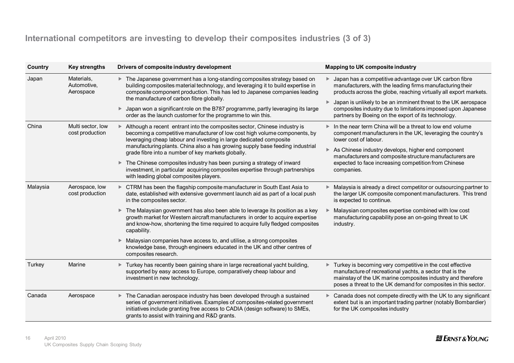## **International competitors are investing to develop their composites industries (3 of 3)**

| Country                                         | <b>Key strengths</b>                 | Drivers of composite industry development                                                                                                                                                                                                                                               | Mapping to UK composite industry                                                                                                                                                                                                                       |
|-------------------------------------------------|--------------------------------------|-----------------------------------------------------------------------------------------------------------------------------------------------------------------------------------------------------------------------------------------------------------------------------------------|--------------------------------------------------------------------------------------------------------------------------------------------------------------------------------------------------------------------------------------------------------|
| Japan<br>Materials,<br>Automotive,<br>Aerospace |                                      | The Japanese government has a long-standing composites strategy based on<br>building composites material technology, and leveraging it to build expertise in<br>composite component production. This has led to Japanese companies leading<br>the manufacture of carbon fibre globally. | Japan has a competitive advantage over UK carbon fibre<br>manufacturers, with the leading firms manufacturing their<br>products across the globe, reaching virtually all export markets.                                                               |
|                                                 |                                      | Japan won a significant role on the B787 programme, partly leveraging its large<br>▶.<br>order as the launch customer for the programme to win this.                                                                                                                                    | Japan is unlikely to be an imminent threat to the UK aerospace<br>▶<br>composites industry due to limitations imposed upon Japanese<br>partners by Boeing on the export of its technology.                                                             |
| China                                           | Multi sector, low<br>cost production | Although a recent entrant into the composites sector, Chinese industry is<br>becoming a competitive manufacturer of low cost high volume components, by<br>leveraging cheap labour and investing in large dedicated composite                                                           | In the near term China will be a threat to low end volume<br>component manufacturers in the UK, leveraging the country's<br>lower cost of labour.                                                                                                      |
|                                                 |                                      | manufacturing plants. China also a has growing supply base feeding industrial<br>grade fibre into a number of key markets globally.                                                                                                                                                     | As Chinese industry develops, higher end component<br>ь<br>manufacturers and composite structure manufacturers are                                                                                                                                     |
|                                                 |                                      | The Chinese composites industry has been pursing a strategy of inward<br>▶.<br>investment, in particular acquiring composites expertise through partnerships<br>with leading global composites players.                                                                                 | expected to face increasing competition from Chinese<br>companies.                                                                                                                                                                                     |
| Malaysia                                        | Aerospace, low<br>cost production    | TRM has been the flagship composite manufacturer in South East Asia to<br>date, established with extensive government launch aid as part of a local push<br>in the composites sector.                                                                                                   | Malaysia is already a direct competitor or outsourcing partner to<br>the larger UK composite component manufacturers. This trend<br>is expected to continue.                                                                                           |
|                                                 |                                      | The Malaysian government has also been able to leverage its position as a key<br>▶.<br>growth market for Western aircraft manufacturers in order to acquire expertise<br>and know-how, shortening the time required to acquire fully fledged composites<br>capability.                  | Malaysian composites expertise combined with low cost<br>manufacturing capability pose an on-going threat to UK<br>industry.                                                                                                                           |
|                                                 |                                      | • Malaysian companies have access to, and utilise, a strong composites<br>knowledge base, through engineers educated in the UK and other centres of<br>composites research.                                                                                                             |                                                                                                                                                                                                                                                        |
| Turkey                                          | Marine                               | Turkey has recently been gaining share in large recreational yacht building,<br>supported by easy access to Europe, comparatively cheap labour and<br>investment in new technology.                                                                                                     | Turkey is becoming very competitive in the cost effective<br>manufacture of recreational yachts, a sector that is the<br>mainstay of the UK marine composites industry and therefore<br>poses a threat to the UK demand for composites in this sector. |
| Canada                                          | Aerospace                            | The Canadian aerospace industry has been developed through a sustained<br>series of government initiatives. Examples of composites-related government<br>initiatives include granting free access to CADIA (design software) to SMEs,<br>grants to assist with training and R&D grants. | ► Canada does not compete directly with the UK to any significant<br>extent but is an important trading partner (notably Bombardier)<br>for the UK composites industry                                                                                 |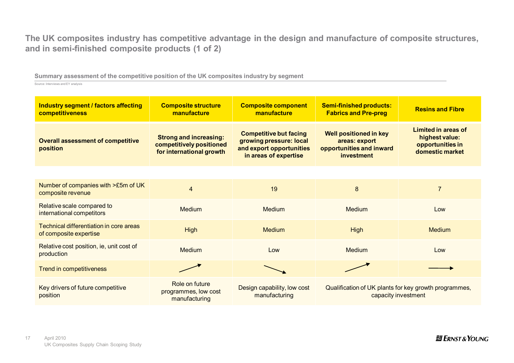**The UK composites industry has competitive advantage in the design and manufacture of composite structures, and in semi-finished composite products (1 of 2)**

**Summary assessment of the competitive position of the UK composites industry by segment**

Source: Interviews and EY analysis

| Industry segment / factors affecting<br>competitiveness           | <b>Composite structure</b><br><b>Composite component</b><br><b>Semi-finished products:</b><br><b>Fabrics and Pre-preg</b><br>manufacture<br>manufacture |                                                                                                               | <b>Resins and Fibre</b>                                                                         |                                                                                     |
|-------------------------------------------------------------------|---------------------------------------------------------------------------------------------------------------------------------------------------------|---------------------------------------------------------------------------------------------------------------|-------------------------------------------------------------------------------------------------|-------------------------------------------------------------------------------------|
| <b>Overall assessment of competitive</b><br>position              | <b>Strong and increasing:</b><br>competitively positioned<br>for international growth                                                                   | <b>Competitive but facing</b><br>growing pressure: local<br>and export opportunities<br>in areas of expertise | <b>Well positioned in key</b><br>areas: export<br>opportunities and inward<br><i>investment</i> | <b>Limited in areas of</b><br>highest value:<br>opportunities in<br>domestic market |
|                                                                   |                                                                                                                                                         |                                                                                                               |                                                                                                 |                                                                                     |
| Number of companies with >£5m of UK<br>composite revenue          | $\overline{4}$                                                                                                                                          | 19                                                                                                            | 8                                                                                               | $\overline{7}$                                                                      |
| Relative scale compared to<br>international competitors           | Medium                                                                                                                                                  | Medium                                                                                                        | <b>Medium</b>                                                                                   | Low                                                                                 |
| Technical differentiation in core areas<br>of composite expertise | High                                                                                                                                                    | <b>Medium</b>                                                                                                 | <b>High</b>                                                                                     | <b>Medium</b>                                                                       |
| Relative cost position, ie, unit cost of<br>production            | Medium                                                                                                                                                  | Low                                                                                                           | Medium                                                                                          | Low                                                                                 |
| <b>Trend in competitiveness</b>                                   |                                                                                                                                                         |                                                                                                               |                                                                                                 |                                                                                     |
| Key drivers of future competitive<br>position                     | Role on future<br>programmes, low cost<br>manufacturing                                                                                                 | Design capability, low cost<br>manufacturing                                                                  | Qualification of UK plants for key growth programmes,<br>capacity investment                    |                                                                                     |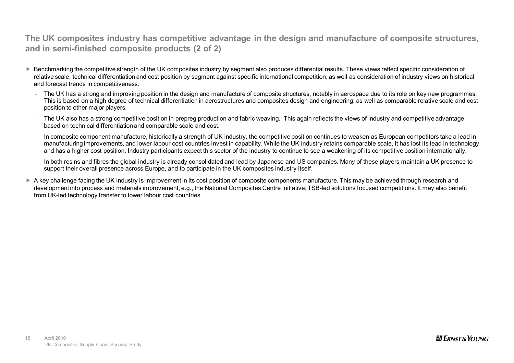**The UK composites industry has competitive advantage in the design and manufacture of composite structures, and in semi-finished composite products (2 of 2)**

- ▶ Benchmarking the competitive strength of the UK composites industry by segment also produces differential results. These views reflect specific consideration of relative scale, technical differentiation and cost position by segment against specific international competition, as well as consideration of industry views on historical and forecast trends in competitiveness.
	- − The UK has a strong and improving position in the design and manufacture of composite structures, notably in aerospace due to its role on key new programmes. This is based on a high degree of technical differentiation in aerostructures and composites design and engineering, as well as comparable relative scale and cost position to other major players.
	- − The UK also has a strong competitive position in prepreg production and fabric weaving. This again reflects the views of industry and competitive advantage based on technical differentiation and comparable scale and cost.
	- − In composite component manufacture, historically a strength of UK industry, the competitive position continues to weaken as E European competitors take a lead in manufacturing improvements, and lower labour cost countries invest in capability. While the UK industry retains comparable scale, it has lost its lead in technology and has a higher cost position. Industry participants expect this sector of the industry to continue to see a weakening of its competitive position internationally.
	- − In both resins and fibres the global industry is already consolidated and lead by Japanese and US companies. Many of these pl players maintain a UK presence to support their overall presence across Europe, and to participate in the UK composites industry itself.
- ▶ A key challenge facing the UK industry is improvement in its cost position of composite components manufacture. This may be achieved through research and development into process and materials improvement, e.g., the National Composites Centre initiative; TSB-led solutions focused competitions. It may also benefit from UK-led technology transfer to lower labour cost countries.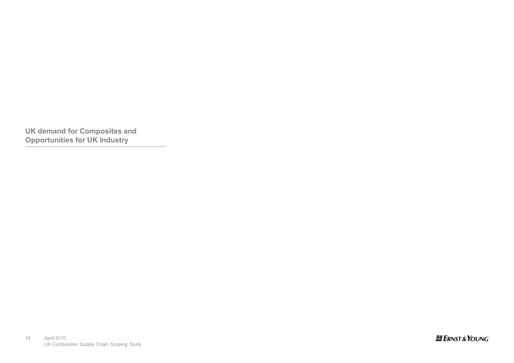**UK demand for Composites and Opportunities for UK Industry**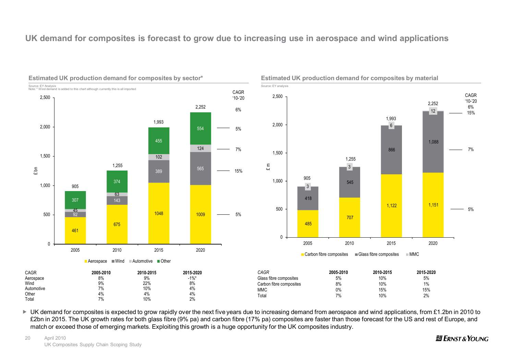### **UK demand for composites is forecast to grow due to increasing use in aerospace and wind applications**

![](_page_20_Figure_1.jpeg)

► UK demand for composites is expected to grow rapidly over the next five years due to increasing demand from aerospace and wind applications, from £1.2bn in 2010 to £2bn in 2015. The UK growth rates for both glass fibre (9% pa) and carbon fibre (17% pa) composites are faster than those forecast for the US and rest of Europe, and match or exceed those of emerging markets. Exploiting this growth is a huge opportunity for the UK composites industry.

 $E$ **ERNST&YOUNG**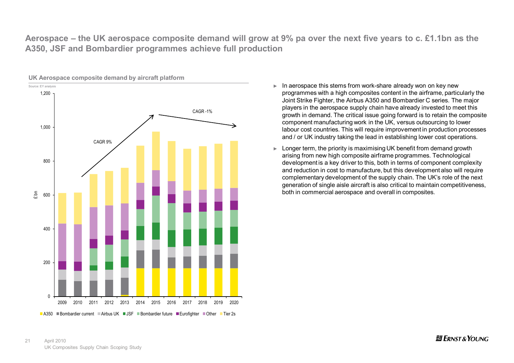### Aerospace – the UK aerospace composite demand will grow at 9% pa over the next five years to c. £1.1bn as the **A350, JSF and Bombardier programmes achieve full production**

![](_page_21_Figure_1.jpeg)

- In aerospace this stems from work-share already won on key new programmes with a high composites content in the airframe, particularly the Joint Strike Fighter, the Airbus A350 and Bombardier C series. The major players in the aerospace supply chain have already invested to meet this growth in demand. The critical issue going forward is to retain the composite component manufacturing work in the UK, versus outsourcing to lower labour cost countries. This will require improvement in production processes and / or UK industry taking the lead in establishing lower cost operations.
- Longer term, the priority is maximising UK benefit from demand growth arising from new high composite airframe programmes. Technological development is a key driver to this, both in terms of component complexity and reduction in cost to manufacture, but this development also will require complementary development of the supply chain. The UK's role of the next generation of single aisle aircraft is also critical to maintain competitiveness, both in commercial aerospace and overall in composites.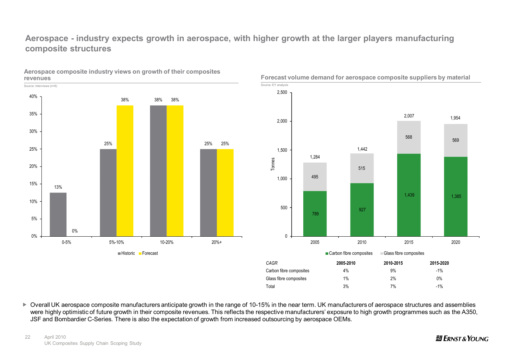### **Aerospace - industry expects growth in aerospace, with higher growth at the larger players manufacturing composite structures**

![](_page_22_Figure_1.jpeg)

![](_page_22_Figure_2.jpeg)

![](_page_22_Figure_3.jpeg)

▶ Overall UK aerospace composite manufacturers anticipate growth in the range of 10-15% in the near term. UK manufacturers of aerospace structures and assemblies were highly optimistic of future growth in their composite revenues. This reflects the respective manufacturers' exposure to high growth programmes such as the A350, JSF and Bombardier C-Series. There is also the expectation of growth from increased outsourcing by aerospace OEMs.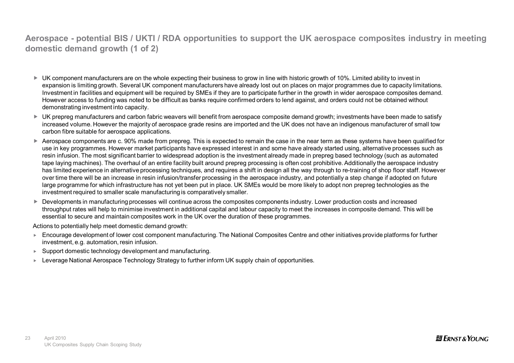**Aerospace - potential BIS / UKTI / RDA opportunities to support the UK aerospace composites industry in meeting domestic demand growth (1 of 2)**

- ► UK component manufacturers are on the whole expecting their business to grow in line with historic growth of 10%. Limited ability to invest in expansion is limiting growth. Several UK component manufacturers have already lost out on places on major programmes due to c capacity limitations. Investment in facilities and equipment will be required by SMEs if they are to participate further in the growth in wider aer aerospace composites demand. However access to funding was noted to be difficult as banks require confirmed orders to lend against, and orders could not b be obtained without demonstrating investment into capacity.
- ► UK prepreg manufacturers and carbon fabric weavers will benefit from aerospace composite demand growth; investments have been made to satisfy increased volume. However the majority of aerospace grade resins are imported and the UK does not have an indigenous manufact manufacturer of small tow carbon fibre suitable for aerospace applications.
- $\blacktriangleright$  Aerospace components are c. 90% made from prepreg. This is expected to remain the case in the near term as these systems have been qualified for Aerospace components are c. 90% made from prepreg. This is expected to remain the case in the near term as these systems have been qualified for<br>use in key programmes. However market participants have expressed interest in resin infusion. The most significant barrier to widespread adoption is the investment already made in prepreg based technology (such as automated tape laying machines). The overhaul of an entire facility built around prepreg processing is often cost prohibitive. Additionally the aerospace industry has limited experience in alternative processing techniques, and requires a shift in design all the way through to re re-training of shop floor staff. However over time there will be an increase in resin infusion/transfer processing in the aerospace industry, and potentially a step c change if adopted on future large programme for which infrastructure has not yet been put in place. UK SMEs would be more likely to adopt non prepreg technologies as the investment required to smaller scale manufacturing is comparatively smaller.
- Exercise in manufacturing processes will continue across the composites components industry. Lower production costs and increased throughput rates will help to minimise investment in additional capital and labour capacity to meet the increases in composite demand. This will be essential to secure and maintain composites work in the UK over the duration of these programmes.

Actions to potentially help meet domestic demand growth:

- ► Encourage development of lower cost component manufacturing. The National Composites Centre and other initiatives provide platforms for further investment, e.g. automation, resin infusion.
- $\blacktriangleright$  Support domestic technology development and manufacturing.
- $\triangleright$  Leverage National Aerospace Technology Strategy to further inform UK supply chain of opportunities.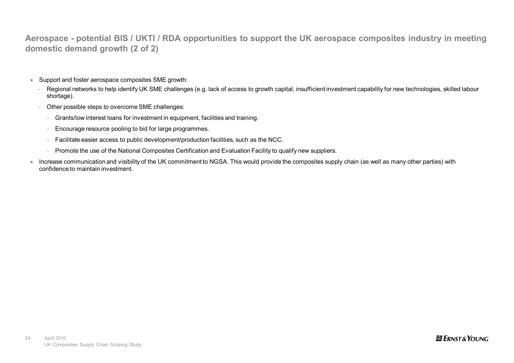**Aerospace - potential BIS / UKTI / RDA opportunities to support the UK aerospace composites industry in meeting domestic demand growth (2 of 2)**

- $\blacktriangleright$  Support and foster aerospace composites SME growth:
	- − Regional networks to help identify UK SME challenges (e.g. lack of access to growth capital, insufficient investment capabili capability for new technologies, skilled labour shortage).
	- − Other possible steps to overcome SME challenges:
		- − Grants/low interest loans for investment in equipment, facilities and training.
		- Encourage resource pooling to bid for large programmes.
		- − Facilitate easier access to public development/production facilities, such as the NCC.
		- − Promote the use of the National Composites Certification and Evaluation Facility to qualify new suppliers.
- ► Increase communication and visibility of the UK commitment to NGSA. This would provide the composites supply chain (as well as many other parties) with confidence to maintain investment.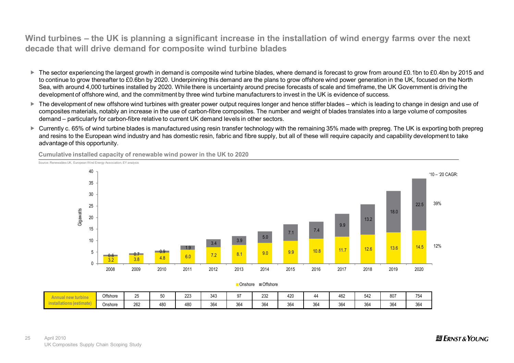Wind turbines – the UK is planning a significant increase in the installation of wind energy farms over the next **decade that will drive demand for composite wind turbine blades**

- ► The sector experiencing the largest growth in demand is composite wind turbine blades, where demand is forecast to grow from around £0.1bn to £0.4bn by 2015 and to continue to grow thereafter to £0.6bn by 2020. Underpinning this demand are the plans to grow offshore wind power generation in the UK, focused on the North Sea, with around 4,000 turbines installed by 2020. While there is uncertainty around precise forecasts of scale and timeframe, the UK Government is driving the development of offshore wind, and the commitment by three wind turbine manufacturers to invest in the UK is evidence of success.
- ▶ The development of new offshore wind turbines with greater power output requires longer and hence stiffer blades which is leading to change in design and use of composites materials, notably an increase in the use of carbon-fibre composites. The number and weight of blades translates into a large volume of composites demand – particularly for carbon-fibre relative to current UK demand levels in other sectors.
- demand particularly for carbon-fibre relative to current UK demand levels in other sectors.<br>■ Currently c. 65% of wind turbine blades is manufactured using resin transfer technology with the remaining 35% made with prep and resins to the European wind industry and has domestic resin, fabric and fibre supply, but all of these will require capac capacity and capability development to take advantage of this opportunity.

**Cumulative installed capacity of renewable wind power in the UK to 2020**

![](_page_25_Figure_5.jpeg)

Source: Renewables UK, European Wind Energy Association, EY analysis

![](_page_25_Figure_7.jpeg)

|     | Offshore | $\sim$ $\sim$<br>w | 50  | 223 | 343 | 07<br>IJΙ | 232 | 420 | 44  | 462 | 542<br>, T. | 807        | 754 |
|-----|----------|--------------------|-----|-----|-----|-----------|-----|-----|-----|-----|-------------|------------|-----|
| - - | Onshore  | 262                | 480 | 480 | 364 | 364       | 364 | 364 | 364 | 364 | 364         | 26/<br>יטט | 364 |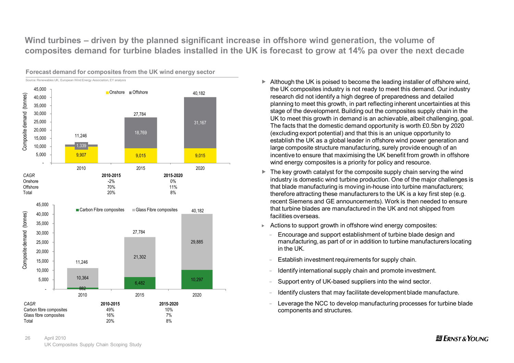**Wind turbines – driven by the planned significant increase in offshore wind generation, the volume of**  composites demand for turbine blades installed in the UK is forecast to grow at 14% pa over the next decade

![](_page_26_Figure_1.jpeg)

- $\blacktriangleright$  Although the UK is poised to become the leading installer of offshore wind, the UK composites industry is not ready to meet this demand. Our industry research did not identify a high degree of preparedness and detailed planning to meet this growth, in part reflecting inherent uncertainties at this stage of the development. Building out the composites supply chain in the UK to meet this growth in demand is an achievable, albeit challenging, goal. The facts that the domestic demand opportunity is worth £0.5bn by 2020 (excluding export potential) and that this is an unique opportunity to establish the UK as a global leader in offshore wind power generation and large composite structure manufacturing, surely provide enough of an incentive to ensure that maximising the UK benefit from growth in offshore wind energy composites is a priority for policy and resource.
- $\blacktriangleright$  The key growth catalyst for the composite supply chain serving the wind industry is domestic wind turbine production. One of the major challenges is that blade manufacturing is moving in-house into turbine manufacturers; therefore attracting these manufacturers to the UK is a key first step (e.g. recent Siemens and GE announcements). Work is then needed to ensure that turbine blades are manufactured in the UK and not shipped from facilities overseas.
- $\triangleright$  Actions to support growth in offshore wind energy composites:
	- − Encourage and support establishment of turbine blade design and manufacturing, as part of or in addition to turbine manufacturers locating in the UK.
	- Establish investment requirements for supply chain.
	- − Identify international supply chain and promote investment.
	- Support entry of UK-based suppliers into the wind sector.
	- − Identify clusters that may facilitate development blade manufacture.
	- Leverage the NCC to develop manufacturing processes for turbine blade components and structures.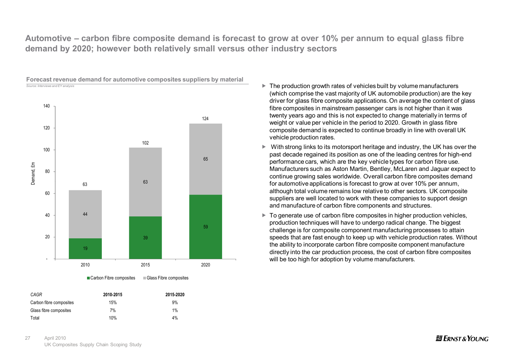### Automotive – carbon fibre composite demand is forecast to grow at over 10% per annum to equal glass fibre **demand by 2020; however both relatively small versus other industry sectors**

![](_page_27_Figure_1.jpeg)

| CAGR                    | 2010-2015 | 2015-2020 |
|-------------------------|-----------|-----------|
| Carbon fibre composites | 15%       | 9%        |
| Glass fibre composites  | 7%        | 1%        |
| Total                   | 10%       | 4%        |

- $\blacktriangleright$  The production growth rates of vehicles built by volume manufacturers (which comprise the vast majority of UK automobile production) are the key driver for glass fibre composite applications. On average the content of glass fibre composites in mainstream passenger cars is not higher than it was twenty years ago and this is not expected to change materially in terms of weight or value per vehicle in the period to 2020. Growth in glass fibre composite demand is expected to continue broadly in line with overall UK vehicle production rates.
- $\blacktriangleright$  With strong links to its motorsport heritage and industry, the UK has over the past decade regained its position as one of the leading centres for high-end performance cars, which are the key vehicle types for carbon fibre use. Manufacturers such as Aston Martin, Bentley, McLaren and Jaguar expect to continue growing sales worldwide. Overall carbon fibre composites demand for automotive applications is forecast to grow at over 10% per annum, although total volume remains low relative to other sectors. UK composite suppliers are well located to work with these companies to support design and manufacture of carbon fibre components and structures.
- $\triangleright$  To generate use of carbon fibre composites in higher production vehicles, production techniques will have to undergo radical change. The biggest challenge is for composite component manufacturing processes to attain speeds that are fast enough to keep up with vehicle production rates. Without the ability to incorporate carbon fibre composite component manufacture directly into the car production process, the cost of carbon fibre composites will be too high for adoption by volume manufacturers.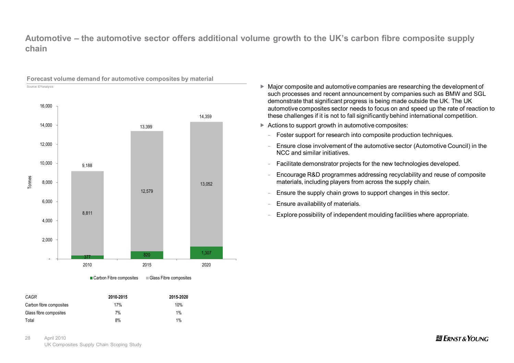### **Automotive – the automotive sector offers additional volume growth to the UK's carbon fibre composite supply chain**

![](_page_28_Figure_1.jpeg)

| Forecast volume demand for automotive composites by material |  |  |  |
|--------------------------------------------------------------|--|--|--|
|                                                              |  |  |  |

- $\blacktriangleright$  Major composite and automotive companies are researching the development of such processes and recent announcement by companies such as BMW and SGL demonstrate that significant progress is being made outside the UK. The UK automotive composites sector needs to focus on and speed up the rate of reaction to these challenges if it is not to fall significantly behind international competition.
- $\blacktriangleright$  Actions to support growth in automotive composites:
	- Foster support for research into composite production techniques.
	- Ensure close involvement of the automotive sector (Automotive Council) in the NCC and similar initiatives.
	- − Facilitate demonstrator projects for the new technologies developed.
	- Encourage R&D programmes addressing recyclability and reuse of composite materials, including players from across the supply chain.
	- Ensure the supply chain grows to support changes in this sector.
	- Ensure availability of materials.
	- Explore possibility of independent moulding facilities where appropriate.

*CAGR* **2010-2015 2015-2020** Carbon fibre composites 17% 10% Glass fibre composites  $7\%$  7% 1%  $\Gamma$ otal  $\sim$  1% 1%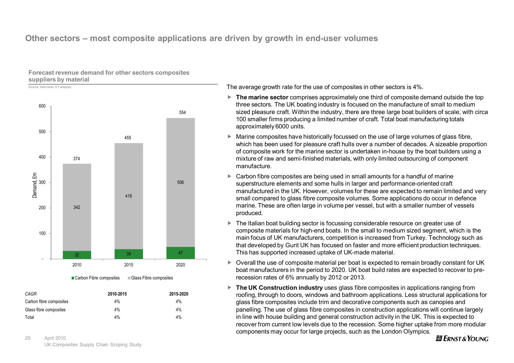### **Other sectors – most composite applications are driven by growth in end end-user volumes**

#### **Forecast revenue demand for other sectors composites suppliers by material**

![](_page_29_Figure_2.jpeg)

 $\blacksquare$  Carbon Fibre composites  $\blacksquare$  Glass Fibre composites

| CAGR                    | 2010-2015 | 2015-2020 |
|-------------------------|-----------|-----------|
| Carbon fibre composites | $4\%$     | $4\%$     |
| Glass fibre composites  | $4\%$     | 4%        |
| Total                   | 4%        | 4%        |

The average growth rate for the use of composites in other sectors is 4%.

- ▶ The marine sector comprises approximately one third of composite demand outside the top three sectors. The UK boating industry is focused on the manufacture of small to medium sized pleasure craft. Within the industry, there are three large boat builders of scale, with circa 100 smaller firms producing a limited number of craft. Total boat manufacturing totals approximately 6000 units.
- $\blacktriangleright$  Marine composites have historically focussed on the use of large volumes of glass fibre, which has been used for pleasure craft hulls over a number of decades. A sizeable proportion of composite work for the marine sector is undertaken in-house by the boat builders using a mixture of raw and semi-finished materials, with only limited outsourcing of component manufacture.
- $\blacktriangleright$  Carbon fibre composites are being used in small amounts for a handful of marine superstructure elements and some hulls in larger and performance-oriented craft manufactured in the UK. However, volumes for these are expected to remain limited and very small compared to glass fibre composite volumes. Some applications do occur in defence marine. These are often large in volume per vessel, but with a smaller number of vessels produced.
- $\blacktriangleright$  The Italian boat building sector is focussing considerable resource on greater use of composite materials for high-end boats. In the small to medium sized segment, which is the main focus of UK manufacturers, competition is increased from Turkey. Technology such as that developed by Gurit UK has focused on faster and more efficient production techniques. This has supported increased uptake of UK-made material.
- $\triangleright$  Overall the use of composite material per boat is expected to remain broadly constant for UK boat manufacturers in the period to 2020. UK boat build rates are expected to recover to prerecession rates of 6% annually by 2012 or 2013.
- ▶ The UK Construction industry uses glass fibre composites in applications ranging from roofing, through to doors, windows and bathroom applications. Less structural applications for glass fibre composites include trim and decorative components such as canopies and panelling. The use of glass fibre composites in construction applications will continue largely in line with house building and general construction activity in the UK. This is expected to recover from current low levels due to the recession. Some higher uptake from more modular components may occur for large projects, such as the London Olympics.

**JERNST & YOUNG**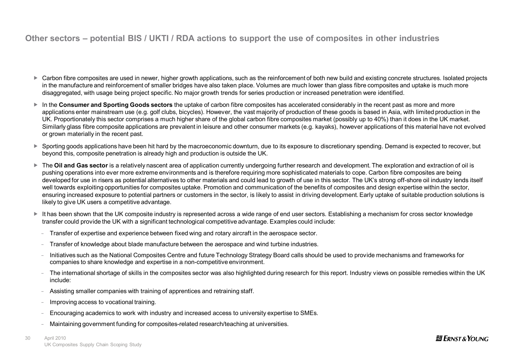### **Other sectors – potential BIS / UKTI / RDA actions to support the use of composites in other industries**

- ▶ Carbon fibre composites are used in newer, higher growth applications, such as the reinforcement of both new build and existing concrete structures. Isolated projects in the manufacture and reinforcement of smaller bridges have also taken place. Volumes are much lower than glass fibre composites and uptake is much more disaggregated, with usage being project specific. No major growth trends for series production or increased penetration were identified.
- ► In the **Consumer and Sporting Goods sectors** the uptake of carbon fibre composites has accelerated considerably in the recent past as more and more applications enter mainstream use (e.g. golf clubs, bicycles). However, the vast majority of production of these goods is bas based in Asia, with limited production in the UK. Proportionately this sector comprises a much higher share of the global carbon fibre composites market (possibly up to 40 40%) than it does in the UK market. Similarly glass fibre composite applications are prevalent in leisure and other consumer markets (e.g. kayaks), however applications of this material have not evolved or grown materially in the recent past.
- ▶ Sporting goods applications have been hit hard by the macroeconomic downturn, due to its exposure to discretionary spending. Demand is expected to recover, but beyond this, composite penetration is already high and production is outside the UK.
- Inte Oil and Gas sector is a relatively nascent area of application currently undergoing further research and development. The exploration and extraction of oil is pushing operations into ever more extreme environments and is therefore requiring more sophisticated materials to cope. Carbo Carbon fibre composites are being developed for use in risers as potential alternatives to other materials and could lead to growth of use in this sector. The UK's strong off-shore oil industry lends itself well towards exploiting opportunities for composites uptake. Promotion and communication of the benefits of composites and de design expertise within the sector, ensuring increased exposure to potential partners or customers in the sector, is likely to assist in driving development. Ear Early uptake of suitable production solutions is likely to give UK users a competitive advantage.
- ▶ It has been shown that the UK composite industry is represented across a wide range of end user sectors. Establishing a mechanism for cross sector knowledge transfer could provide the UK with a significant technological competitive advantage. Examples could include:
	- Transfer of expertise and experience between fixed wing and rotary aircraft in the aerospace sector.
	- Transfer of knowledge about blade manufacture between the aerospace and wind turbine industries.
	- − Initiatives such as the National Composites Centre and future Technology Strategy Board calls should be used to provide mecha mechanisms and frameworks for companies to share knowledge and expertise in a non-competitive environment.
	- companies to share knowledge and expertise in a non-competitive environment.<br>The international shortage of skills in the composites sector was also highlighted during research for this report. Industry views on possible r include:
	- − Assisting smaller companies with training of apprentices and retraining staff.
	- − Improving access to vocational training.
	- Encouraging academics to work with industry and increased access to university expertise to SMEs.
	- − Maintaining government funding for composites-related research/teaching at universities. related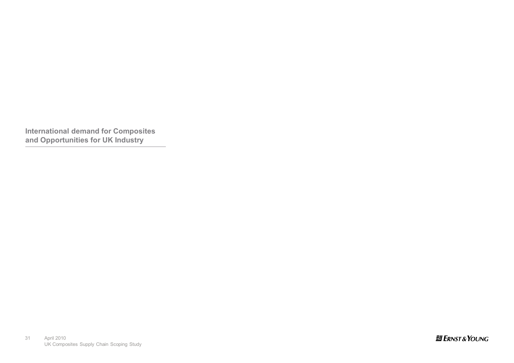**International demand for Composites and Opportunities for UK Industry**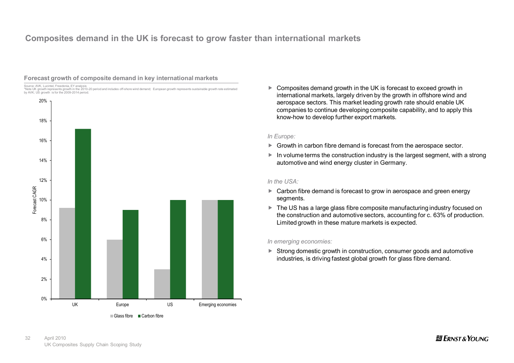### **Composites demand in the UK is forecast to grow faster than international markets**

#### **Forecast growth of composite demand in key international markets**

Source: AVK, Lucintel, Freedonia, EY analysis<br>\*Note UK growth represents growth in the 2010-20 period and includes off-shore wind demand; European growth represents sustainable growth rate estimated by AVK; US growth is for the 2009-2014 period.

![](_page_32_Figure_4.jpeg)

 $\triangleright$  Composites demand growth in the UK is forecast to exceed growth in international markets, largely driven by the growth in offshore wind and aerospace sectors. This market leading growth rate should enable UK companies to continue developing composite capability, and to apply this know-how to develop further export markets.

#### *In Europe:*

- $\blacktriangleright$  Growth in carbon fibre demand is forecast from the aerospace sector.
- $\blacktriangleright$  In volume terms the construction industry is the largest segment, with a strong automotive and wind energy cluster in Germany.

#### *In the USA:*

- $\triangleright$  Carbon fibre demand is forecast to grow in aerospace and green energy segments.
- $\blacktriangleright$  The US has a large glass fibre composite manufacturing industry focused on the construction and automotive sectors, accounting for c. 63% of production. Limited growth in these mature markets is expected.

*In emerging economies:*

 $\triangleright$  Strong domestic growth in construction, consumer goods and automotive industries, is driving fastest global growth for glass fibre demand.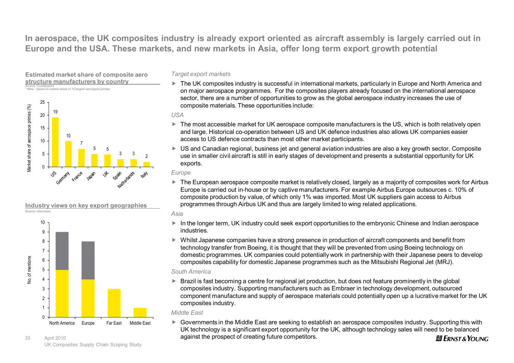In aerospace, the UK composites industry is already export oriented as aircraft assembly is largely carried out in **Europe and the USA. These markets, and new markets in Asia, offer long term export growth potential**

**Estimated market share of composite aero structure manufacturers by country**

Source: Counterpoint \* Note - based on market share of 15 largest aerospace primes

![](_page_33_Figure_3.jpeg)

**Industry views on key export geographies** Source: Interviews

![](_page_33_Figure_5.jpeg)

#### *Target export markets*

► The UK composites industry is successful in international markets, particularly in Europe and North America and on major aerospace programmes. For the composites players already focused on the international aerospace sector, there are a number of opportunities to grow as the global aerospace industry increases the use of composite materials. These opportunities include:

*USA*

- $\blacktriangleright$  The most accessible market for UK aerospace composite manufacturers is the US, which is both relatively open and large. Historical co-operation between US and UK defence industries also allows UK companies easier access to US defence contracts than most other market participants.
- $\blacktriangleright$  US and Canadian regional, business jet and general aviation industries are also a key growth sector. Composite use in smaller civil aircraft is still in early stages of development and presents a substantial opportunity for UK exports.

#### *Europe*

 $\blacktriangleright$  The European aerospace composite market is relatively closed, largely as a majority of composites work for Airbus Europe is carried out in-house or by captive manufacturers. For example Airbus Europe outsources c. 10% of composite production by value, of which only 1% was imported. Most UK suppliers gain access to Airbus programmes through Airbus UK and thus are largely limited to wing related applications. operation between US and UK defence industries also allows UK companies easie<br>ontracts than most other market participants.<br>and, business jet and general aviation industries are also a key growth sector. Com<br>aft is still i

#### *Asia*

- $\blacktriangleright$  In the longer term, UK industry could seek export opportunities to the embryonic Chinese and Indian aerospace **industries**
- $\blacktriangleright$  Whilst Japanese companies have a strong presence in production of aircraft components and benefit from technology transfer from Boeing, it is thought that they will be prevented from using Boeing technology on domestic programmes. UK companies could potentially work in partnership with their Japanese peers to develop composites capability for domestic Japanese programmes such as the Mitsubishi Regional Jet (MRJ).

#### *South America*

 $\triangleright$  Brazil is fast becoming a centre for regional jet production, but does not feature prominently in the global composites industry. Supporting manufacturers such as Embraer in technology development, outsourced component manufacture and supply of aerospace materials could potentially open up a lucrative market for the UK composites industry.

#### *Middle East*

▶ Governments in the Middle East are seeking to establish an aerospace composites industry. Supporting this with UK technology is a significant export opportunity for the UK, although technology sales will need to be balanced April 2010 **April 2010 April 2010 against the prospect of creating future competitors. JU ERNST & YOUNG** 

33